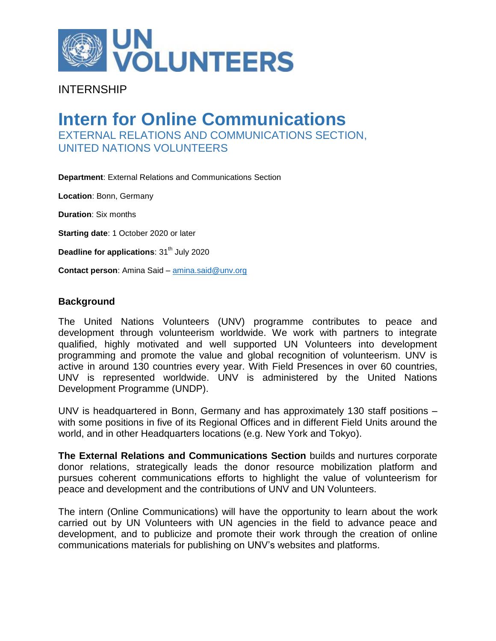

## INTERNSHIP

# **Intern for Online Communications** EXTERNAL RELATIONS AND COMMUNICATIONS SECTION, UNITED NATIONS VOLUNTEERS

**Department**: External Relations and Communications Section

**Location**: Bonn, Germany

**Duration**: Six months

**Starting date**: 1 October 2020 or later

**Deadline for applications:** 31<sup>th</sup> July 2020

**Contact person**: Amina Said – [amina.said@unv.org](mailto:amina.said@unv.org)

#### **Background**

The United Nations Volunteers (UNV) programme contributes to peace and development through volunteerism worldwide. We work with partners to integrate qualified, highly motivated and well supported UN Volunteers into development programming and promote the value and global recognition of volunteerism. UNV is active in around 130 countries every year. With Field Presences in over 60 countries, UNV is represented worldwide. UNV is administered by the United Nations Development Programme (UNDP).

UNV is headquartered in Bonn, Germany and has approximately 130 staff positions – with some positions in five of its Regional Offices and in different Field Units around the world, and in other Headquarters locations (e.g. New York and Tokyo).

**The External Relations and Communications Section** builds and nurtures corporate donor relations, strategically leads the donor resource mobilization platform and pursues coherent communications efforts to highlight the value of volunteerism for peace and development and the contributions of UNV and UN Volunteers.

The intern (Online Communications) will have the opportunity to learn about the work carried out by UN Volunteers with UN agencies in the field to advance peace and development, and to publicize and promote their work through the creation of online communications materials for publishing on UNV's websites and platforms.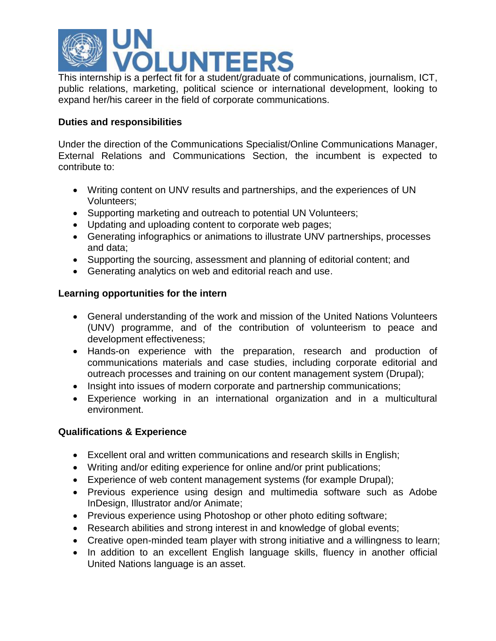

This internship is a perfect fit for a student/graduate of communications, journalism, ICT, public relations, marketing, political science or international development, looking to expand her/his career in the field of corporate communications.

### **Duties and responsibilities**

Under the direction of the Communications Specialist/Online Communications Manager, External Relations and Communications Section, the incumbent is expected to contribute to:

- Writing content on UNV results and partnerships, and the experiences of UN Volunteers;
- Supporting marketing and outreach to potential UN Volunteers;
- Updating and uploading content to corporate web pages;
- Generating infographics or animations to illustrate UNV partnerships, processes and data;
- Supporting the sourcing, assessment and planning of editorial content; and
- Generating analytics on web and editorial reach and use.

### **Learning opportunities for the intern**

- General understanding of the work and mission of the United Nations Volunteers (UNV) programme, and of the contribution of volunteerism to peace and development effectiveness;
- Hands-on experience with the preparation, research and production of communications materials and case studies, including corporate editorial and outreach processes and training on our content management system (Drupal);
- Insight into issues of modern corporate and partnership communications;
- Experience working in an international organization and in a multicultural environment.

#### **Qualifications & Experience**

- Excellent oral and written communications and research skills in English;
- Writing and/or editing experience for online and/or print publications;
- Experience of web content management systems (for example Drupal);
- Previous experience using design and multimedia software such as Adobe InDesign, Illustrator and/or Animate;
- Previous experience using Photoshop or other photo editing software;
- Research abilities and strong interest in and knowledge of global events;
- Creative open-minded team player with strong initiative and a willingness to learn;
- In addition to an excellent English language skills, fluency in another official United Nations language is an asset.